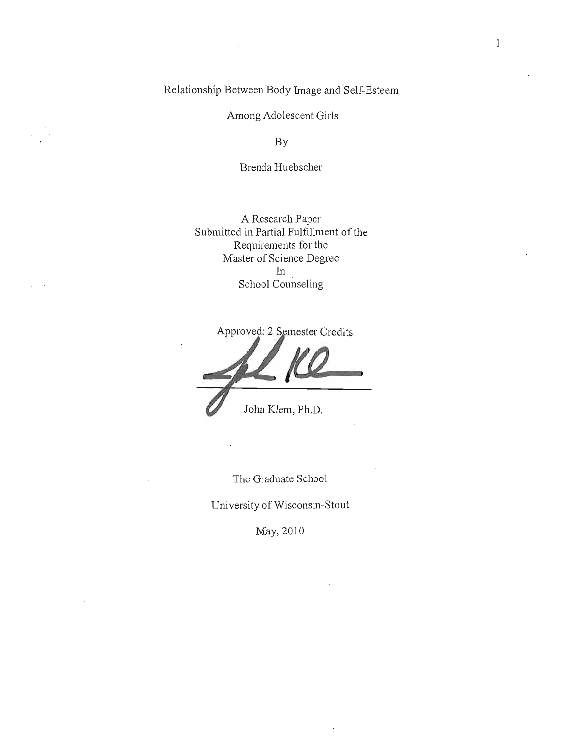Relationship Between Body Image and Self-Esteem

Among Adolescent Girls

By

Brenda Huebscher

A Research Paper Submitted **in** Partial Fulfillment of the Requirements for the Master of Science Degree In School Counseling

Approved: 2 Semester Credits John Klem, Ph.D.

The Graduate School

University of Wisconsin-Stout

May, 2010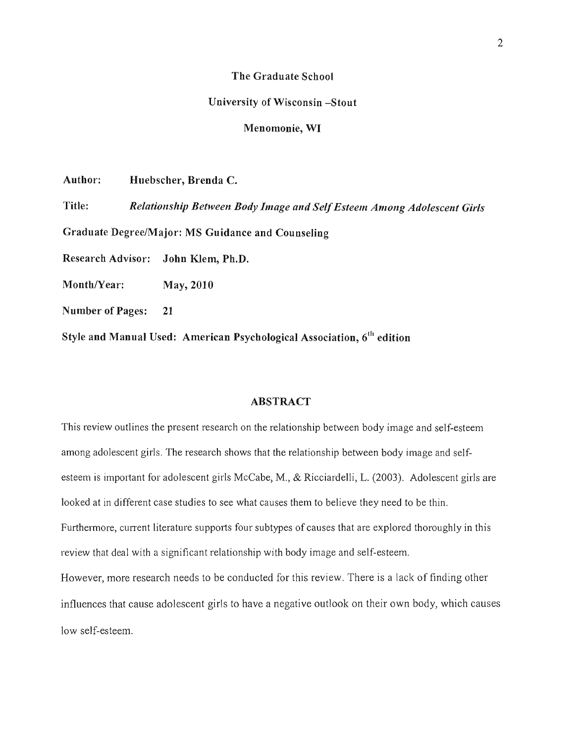### **The Graduate School**

#### **University of Wisconsin -Stout**

# **Menomonie, WI**

**Author: Huebscher, Brenda C.** 

**Title:** *Relationship Between Body Image and Self Esteem Among Adolescent Girls*  **Graduate Degree/Major: MS Guidance and Counseling Research Advisor: John KJem, Ph.D.**  Month/Year: May, 2010

**Number of Pages: 21** 

**Style and Manual Used: American Psychological Association, 6th edition** 

#### **ABSTRACT**

This review outlines the present research on the relationship between body image and self-esteem among adolescent girls. The research shows that the relationship between body image and selfesteem is important for adolescent girls McCabe, M., & Ricciardelli, L. (2003). Adolescent girls are looked at in different case studies to see what causes them to believe they need to be thin. Furthermore, current literature supports four subtypes of causes that are explored thoroughly in this review that deal with a significant relationship with body image and self-esteem. However, more research needs to be conducted for this review. There is a lack of finding other influences that cause adolescent girls to have a negative outlook on their own body, which causes low self-esteem.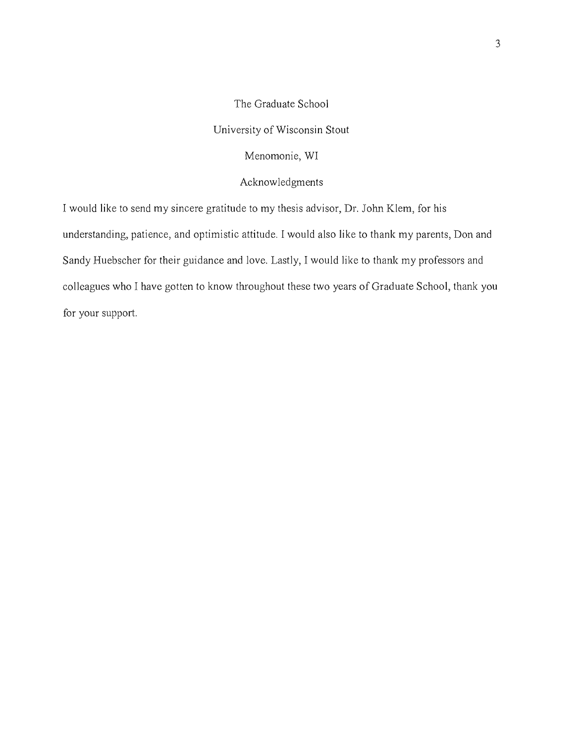The Graduate School University of Wisconsin Stout Menomonie, WI

Acknowledgments

I would like to send my sincere gratitude to my thesis advisor, Dr. John Klem, for his understanding, patience, and optimistic attitude. I would also like to thank my parents, Don and Sandy Huebscher for their guidance and love. Lastly, I would like to thank my professors and colleagues who I have gotten to know throughout these two years of Graduate School, thank you for your support.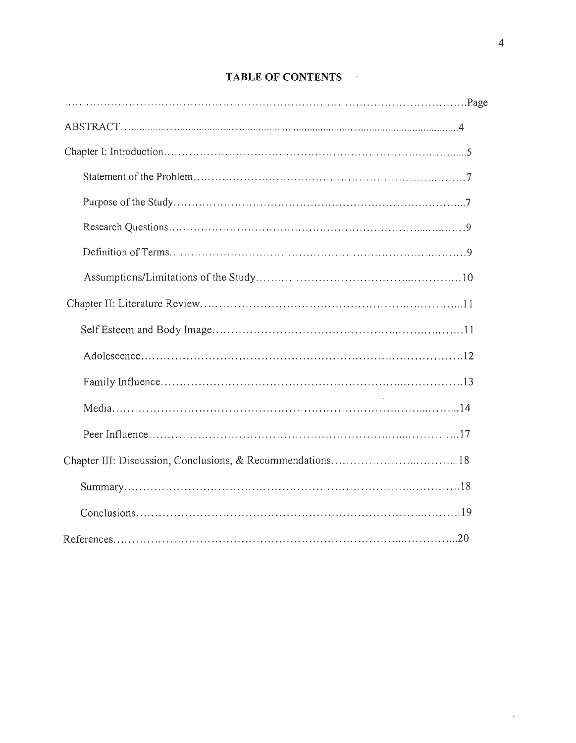# TABLE OF CONTENTS

 $\sim$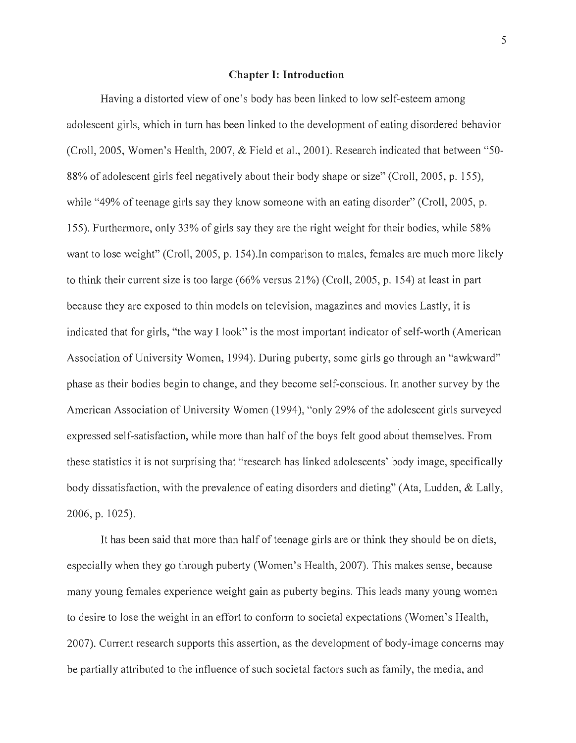#### **Chapter I: Introduction**

Having a distorted view of one's body has been linked to low self-esteem among adolescent girls, which in turn has been linked to the development of eating disordered behavior (Croll, 2005, Women's Health, 2007, & Field et a!., 2001). Research indicated that between "50- 88% of adolescent girls feel negatively about their body shape or size" (Croll, 2005, p. 155), while "49% of teenage girls say they know someone with an eating disorder" (Croll, 2005, p. 155). Furthermore, only 33% of girls say they are the right weight for their bodies, while 58% want to lose weight" (Croll, 2005, p. 154).In comparison to males, females are much more likely to think their current size is too large (66% versus 21%) (Croll, 2005, p. 154) at least in part because they are exposed to thin models on television, magazines and movies Lastly, it is indicated that for girls, "the way I look" is the most important indicator of self-worth (American Association of University Women, 1994). During puberty, some girls go through an "awkward" phase as their bodies begin to change, and they become self-conscious. In another survey by the American Association of University Women (1994), "only 29% of the adolescent girls surveyed expressed self-satisfaction, while more than half of the boys felt good about themselves. From these statistics it is not surprising that "research has linked adolescents' body image, specifically body dissatisfaction, with the prevalence of eating disorders and dieting" (Ata, Ludden, & Lally, 2006, p. 1025).

It has been said that more than half of teenage girls are or think they should be on diets, especially when they go through puberty (Women's Health, 2007). This makes sense, because many young females experience weight gain as puberty begins. This leads many young women to desire to lose the weight in an effort to conform to societal expectations (Women's Health, 2007). Current research supports this assertion, as the development of body-image concerns may be partially attributed to the influence of such societal factors such as family, the media, and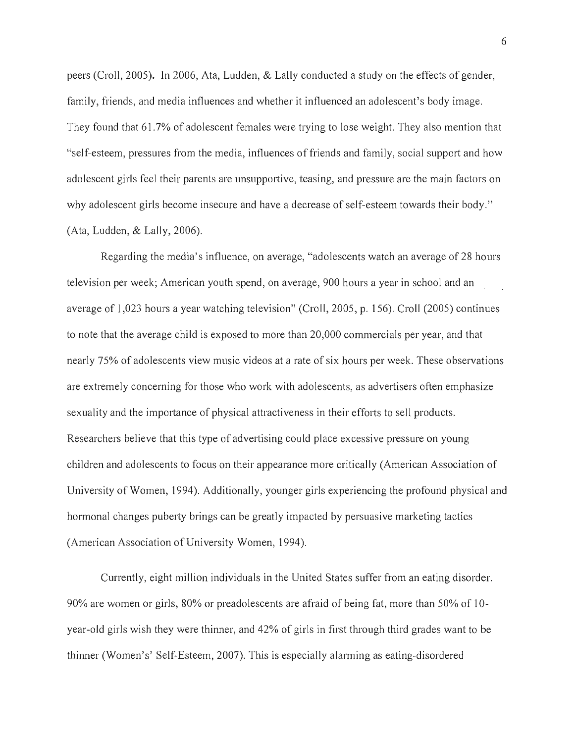peers (Croll, 2005). In 2006, Ata, Ludden, & Lally conducted a study on the effects of gender, family, friends, and media influences and whether it influenced an adolescent's body image. They found that 61.7% of adolescent females were trying to lose weight. They also mention that "self-esteem, pressures from the media, influences of friends and family, social support and how adolescent girls feel their parents are unsupportive, teasing, and pressure are the main factors on why adolescent girls become insecure and have a decrease of self-esteem towards their body." (Ata, Ludden, & Lally, 2006).

Regarding the media's influence, on average, "adolescents watch an average of 28 hours television per week; American youth spend, on average, 900 hours a year in school and an average of 1,023 hours a year watching television" (Croll, 2005, p. 156). Croll (2005) continues to note that the average child is exposed to more than 20,000 commercials per year, and that nearly 75% of adolescents view music videos at a rate of six hours per week. These observations are extremely concerning for those who work with adolescents, as advertisers often emphasize sexuality and the importance of physical attractiveness in their efforts to sell products. Researchers believe that this type of advertising could place excessive pressure on young children and adolescents to focus on their appearance more critically (American Association of University of Women, 1994). Additionally, younger girls experiencing the profound physical and hormonal changes puberty brings can be greatly impacted by persuasive marketing tactics (American Association of University Women, 1994).

Currently, eight million individuals in the United States suffer from an eating disorder. 90% are women or girls, 80% or preadolescents are afraid of being fat, more than 50% of 10 year-old girls wish they were thinner, and 42% of girls in first through third grades want to be thinner (Women's' Self-Esteem, 2007). This is especially alarming as eating-disordered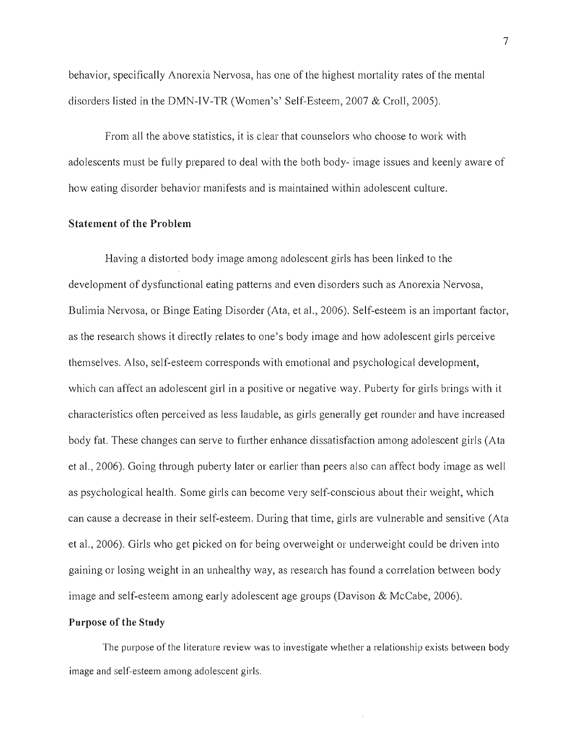behavior, specifically Anorexia Nervosa, has one of the highest mortality rates of the mental disorders listed in the DMN-IV-TR (Women's' Self-Esteem, 2007 & Croll, 2005).

From all the above statistics, it is clear that counselors who choose to work with adolescents must be fully prepared to deal with the both body- image issues and keenly aware of how eating disorder behavior manifests and is maintained within adolescent culture.

# **Statement of the Problem**

Having a distorted body image among adolescent girls has been linked to the development of dysfunctional eating patterns and even disorders such as Anorexia Nervosa, Bulimia Nervosa, or Binge Eating Disorder (Ata, et al., 2006). Self-esteem is an important factor, as the research shows it directly relates to one's body image and how adolescent girls perceive themselves. Also, self-esteem corresponds with emotional and psychological development, which can affect an adolescent girl in a positive or negative way. Puberty for girls brings with it characteristics often perceived as less laudable, as girls generally get rounder and have increased body fat. These changes can serve to further enhance dissatisfaction among adolescent girls (Ata et aI., 2006). Going through puberty later or earlier than peers also can affect body image as well as psychological health. Some girls can become very self-conscious about their weight, which can cause a decrease in their self-esteem. During that time, girls are vulnerable and sensitive (Ata et aI., 2006). Girls who get picked on for being overweight or underweight could be driven into gaining or losing weight in an unhealthy way, as research has found a correlation between body image and self-esteem among early adolescent age groups (Davison & McCabe, 2006).

# **Purpose of the Study**

The purpose of the literature review was to investigate whether a relationship exists between body image and self-esteem among adolescent girls.

7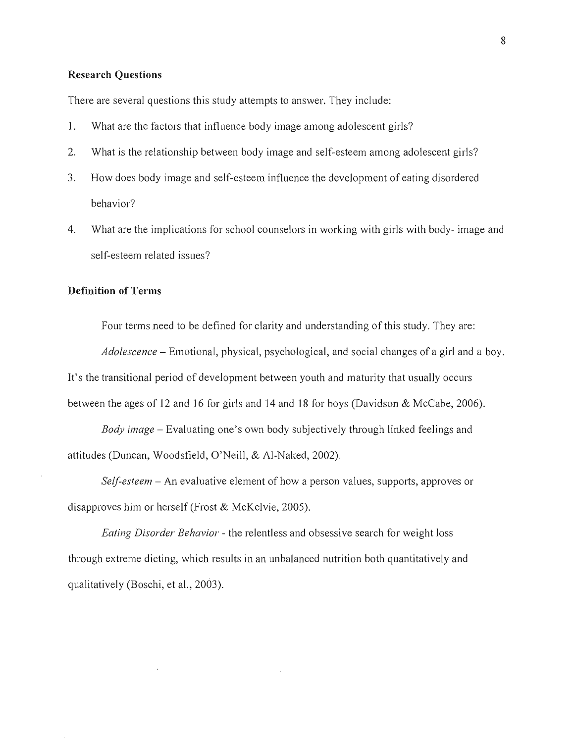## **Research Questions**

There are several questions this study attempts to answer. They include:

- 1. What are the factors that influence body image among adolescent girls?
- 2. What is the relationship between body image and self-esteem among adolescent girls?
- 3. How does body image and self-esteem influence the development of eating disordered behavior?
- 4. What are the implications for school counselors in working with girls with body- image and self-esteem related issues?

## **Definition of Terms**

Four terms need to be defined for clarity and understanding of this study. They are:

*Adolescence* - Emotional, physical, psychological, and social changes of a girl and a boy. It's the transitional period of development between youth and maturity that usually occurs between the ages of 12 and 16 for girls and 14 and 18 for boys (Davidson & McCabe, 2006).

*Body image* - Evaluating one's own body SUbjectively through linked feelings and attitudes (Duncan, Woodsfield, O'Neill, & AI-Naked, 2002).

*Self-esteem* – An evaluative element of how a person values, supports, approves or disapproves him or herself (Frost & McKelvie, 2005).

*Eating Disorder Behavior* - the relentless and obsessive search for weight loss through extreme dieting, which results in an unbalanced nutrition both quantitatively and qualitatively (Boschi, et aI., 2003).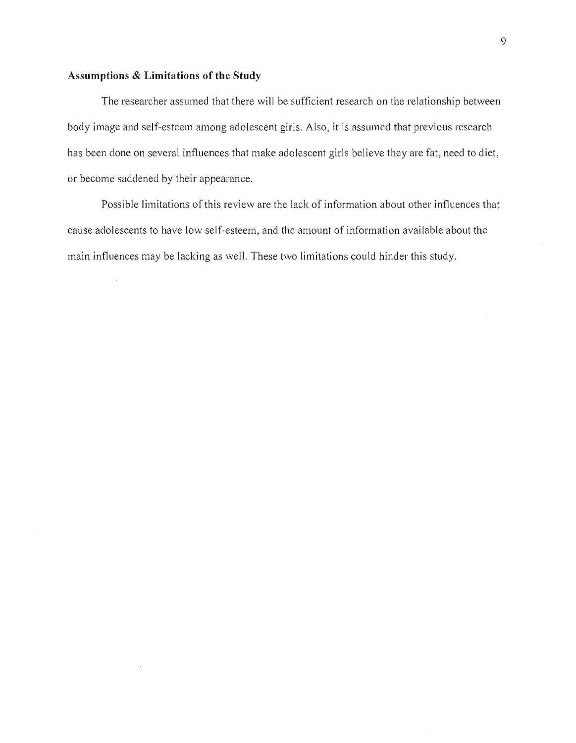## **Assumptions & Limitations of the Study**

The researcher assumed that there will be sufficient research on the relationship between body image and self-esteem among adolescent girls. Also, it is assumed that previous research has been done on several influences that make adolescent girls believe they are fat, need to diet, or become saddened by their appearance.

Possible limitations of this review are the lack of information about other influences that cause adolescents to have low self-esteem, and the amount of information available about the main influences may be lacking as well. These two limitations could hinder this study.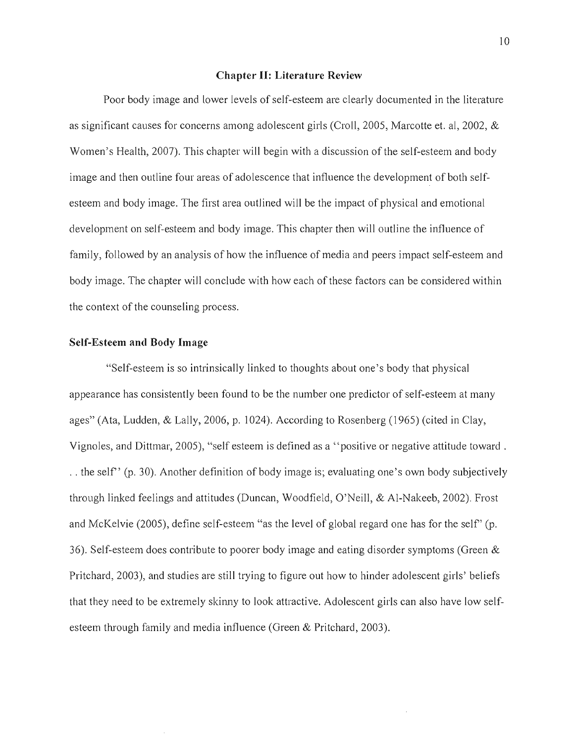### **Chapter II: Literature Review**

Poor body image and lower levels of self-esteem are clearly documented in the literature as significant causes for concerns among adolescent girls (Croll, 2005, Marcotte et. ai, 2002, & Women's Health, 2007). This chapter will begin with a discussion of the self-esteem and body image and then outline four areas of adolescence that influence the development of both selfesteem and body image. The first area outlined will be the impact of physical and emotional development on self-esteem and body image. This chapter then will outline the influence of family, followed by an analysis of how the influence of media and peers impact self-esteem and body image. The chapter will conclude with how each of these factors can be considered within the context of the counseling process.

# **Self-Esteem and Body Image**

"Self-esteem is so intrinsically linked to thoughts about one's body that physical appearance has consistently been found to be the number one predictor of self-esteem at many ages" (Ata, Ludden, & Lally, 2006, p. 1024). According to Rosenberg (1965) (cited in Clay, Vignoles, and Dittmar, 2005), "self esteem is defined as a "positive or negative attitude toward . . . the self" (p. 30). Another definition of body image is; evaluating one's own body subjectively through linked feelings and attitudes (Duncan, Woodfield, O'Neill, & AI-Nakeeb, 2002). Frost and McKelvie (2005), define self-esteem "as the level of global regard one has for the self" (p. 36). Self-esteem does contribute to poorer body image and eating disorder symptoms (Green  $\&$ Pritchard, 2003), and studies are still trying to figure out how to hinder adolescent girls' beliefs that they need to be extremely skinny to look attractive. Adolescent girls can also have low selfesteem through family and media influence (Green & Pritchard, 2003).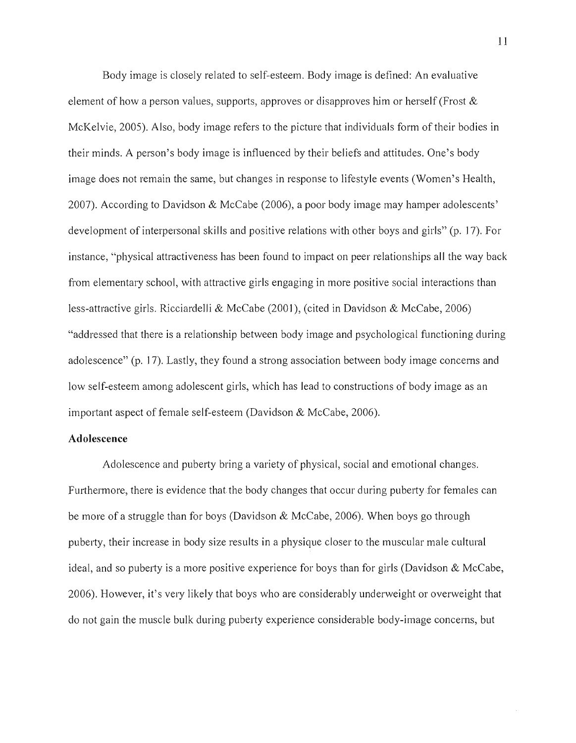Body image is closely related to self-esteem. Body image is defined: An evaluative element of how a person values, supports, approves or disapproves him or herself (Frost  $\&$ McKelvie, 2005). Also, body image refers to the picture that individuals form of their bodies in their minds. A person's body image is influenced by their beliefs and attitudes. One's body image does not remain the same, but changes in response to lifestyle events (Women's Health, 2007). According to Davidson & McCabe (2006), a poor body image may hamper adolescents' development of interpersonal skills and positive relations with other boys and girls" (p. 17). For instance, "physical attractiveness has been found to impact on peer relationships all the way back from elementary school, with attractive girls engaging in more positive social interactions than less-attractive girls. Ricciardelli & McCabe (2001), (cited in Davidson & McCabe, 2006) "addressed that there is a relationship between body image and psychological functioning during adolescence" (p. 17). Lastly, they found a strong association between body image concerns and low self-esteem among adolescent girls, which has lead to constructions of body image as an important aspect of female self-esteem (Davidson  $&$  McCabe, 2006).

## **Adolescence**

Adolescence and puberty bring a variety of physical, social and emotional changes. Furthermore, there is evidence that the body changes that occur during puberty for females can be more of a struggle than for boys (Davidson & McCabe, 2006). When boys go through puberty, their increase in body size results in a physique closer to the muscular male cultural ideal, and so puberty is a more positive experience for boys than for girls (Davidson  $\&$  McCabe, 2006). However, it's very likely that boys who are considerably underweight or overweight that do not gain the muscle bulk during puberty experience considerable body-image concerns, but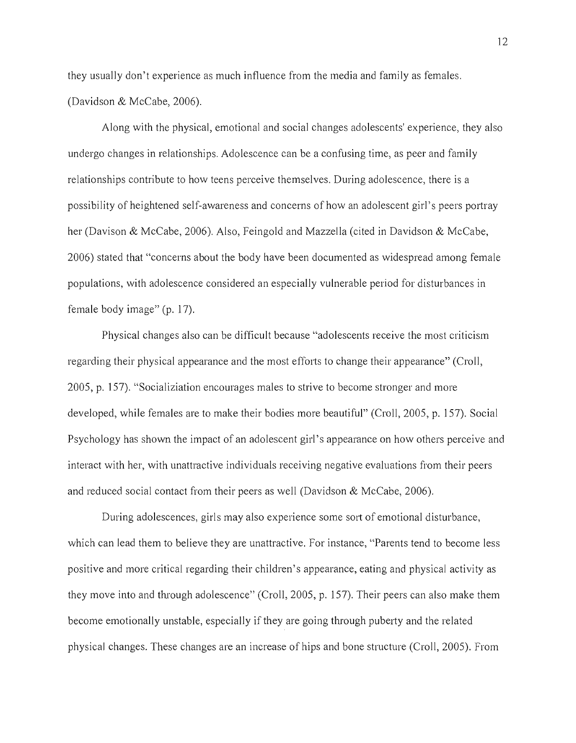they usually don't experience as much influence from the media and family as females. (Davidson & McCabe, 2006).

Along with the physical, emotional and social changes adolescents' experience, they also undergo changes in relationships. Adolescence can be a confusing time, as peer and family relationships contribute to how teens perceive themselves. During adolescence, there is a possibility of heightened self-awareness and concerns of how an adolescent girl's peers portray her (Davison & McCabe, 2006). Also, Feingold and Mazzella (cited in Davidson & McCabe, 2006) stated that "concerns about the body have been documented as widespread among female populations, with adolescence considered an especially vulnerable period for disturbances in female body image" (p. 17).

Physical changes also can be difficult because "adolescents receive the most criticism regarding their physical appearance and the most efforts to change their appearance" (Croll, 2005, p. 157). "Socializiation encourages males to strive to become stronger and more developed, while females are to make their bodies more beautiful" (Croll, 2005, p. 157). Social Psychology has shown the impact of an adolescent girl's appearance on how others perceive and interact with her, with unattractive individuals receiving negative evaluations from their peers and reduced social contact from their peers as well (Davidson & McCabe, 2006).

During adolescences, girls may also experience some sort of emotional disturbance, which can lead them to believe they are unattractive. For instance, "Parents tend to become less positive and more critical regarding their children's appearance, eating and physical activity as they move into and through adolescence" (Croll, 2005, p. 157). Their peers can also make them become emotionally unstable, especially if they are going through puberty and the related physical changes. These changes are an increase of hips and bone structure (Croll, 2005). From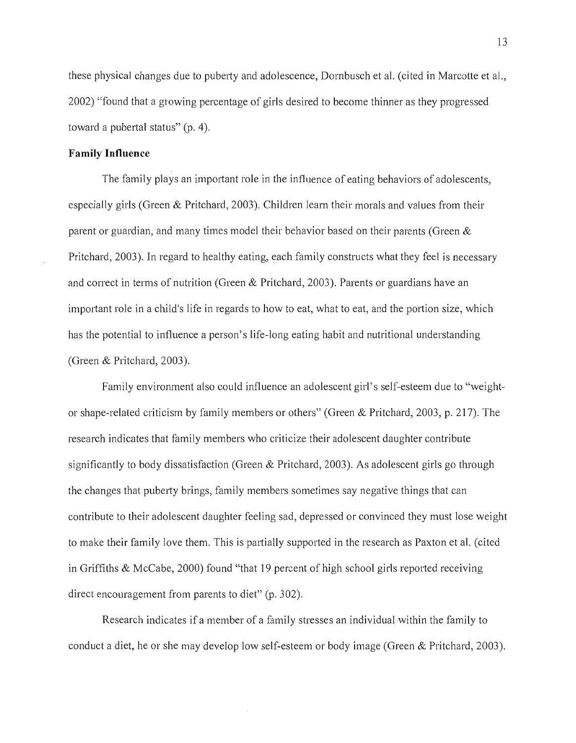these physical changes due to puberty and adolescence, Dornbusch et a1. (cited in Marcotte et aI., 2002) "found that a growing percentage of girls desired to become thinner as they progressed toward a pubertal status" (p. 4).

### **Family Influence**

The family plays an important role in the influence of eating behaviors of adolescents, especially girls (Green & Pritchard, 2003). Children learn their morals and values from their parent or guardian, and many times model their behavior based on their parents (Green & Pritchard, 2003). In regard to healthy eating, each family constructs what they feel is necessary and correct in terms of nutrition (Green & Pritchard, 2003). Parents or guardians have an important role in a child's life in regards to how to eat, what to eat, and the portion size, which has the potential to influence a person's life-long eating habit and nutritional understanding (Green & Pritchard, 2003).

Family environment also could influence an adolescent girl's self-esteem due to "weightor shape-related criticism by family members or others" (Green & Pritchard, 2003, p. 217). The research indicates that family members who criticize their adolescent daughter contribute significantly to body dissatisfaction (Green  $&$  Pritchard, 2003). As adolescent girls go through the changes that puberty brings, family members sometimes say negative things that can contribute to their adolescent daughter feeling sad, depressed or convinced they must lose weight to make their family love them. This is partially supported in the research as Paxton et a1. (cited in Griffiths  $&$  McCabe, 2000) found "that 19 percent of high school girls reported receiving direct encouragement from parents to diet" (p. 302).

Research indicates if a member of a family stresses an individual within the family to conduct a diet, he or she may develop low self-esteem or body image (Green & Pritchard, 2003).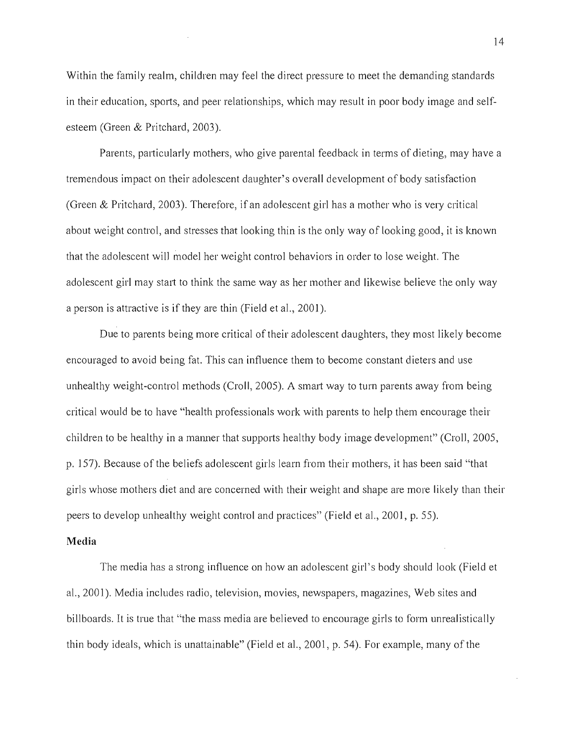Within the family realm, children may feel the direct pressure to meet the demanding standards in their education, sports, and peer relationships, which may result in poor body image and selfesteem (Green & Pritchard, 2003).

Parents, particularly mothers, who give parental feedback in terms of dieting, may have a tremendous impact on their adolescent daughter's overall development of body satisfaction (Green & Pritchard, 2003). Therefore, if an adolescent girl has a mother who is very critical about weight control, and stresses that looking thin is the only way of looking good, it is lmown that the adolescent will model her weight control behaviors in order to lose weight. The adolescent girl may start to think the same way as her mother and likewise believe the only way a person is attractive is if they are thin (Field et ai., 2001).

Due to parents being more critical of their adolescent daughters, they most likely become encouraged to avoid being fat. This can influence them to become constant dieters and use unhealthy weight-control methods (Croll, 2005). A smart way to turn parents away from being critical would be to have "health professionals work with parents to help them encourage their children to be healthy in a manner that supports healthy body image development" (Croll, 2005, p. 157). Because of the beliefs adolescent girls learn from their mothers, it has been said "that girls whose mothers diet and are concerned with their weight and shape are more likely than their peers to develop unhealthy weight control and practices" (Field et ai. , 2001, p. 55).

# **Media**

The media has a strong influence on how an adolescent girl's body should look (Field et ai. , 2001). Media includes radio, television, movies, newspapers, magazines, Web sites and billboards. It is true that "the mass media are believed to encourage girls to form unrealistically thin body ideals, which is unattainable" (Field et al., 2001, p. 54). For example, many of the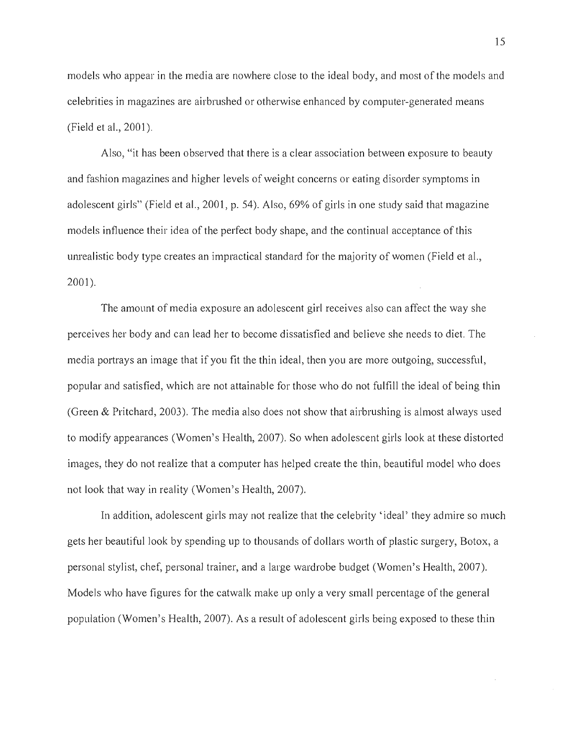models who appear in the media are nowhere close to the ideal body, and most of the models and celebrities in magazines are airbrushed or otherwise enhanced by computer-generated means (Field et ai., 2001).

Also, "it has been observed that there is a clear association between exposure to beauty and fashion magazines and higher levels of weight concerns or eating disorder symptoms in adolescent girls" (Field et ai., 2001, p. 54). Also, 69% of girls in one study said that magazine models influence their idea of the perfect body shape, and the continual acceptance of this umealistic body type creates an impractical standard for the majority of women (Field et ai., 2001).

The amount of media exposure an adolescent girl receives also can affect the way she perceives her body and can lead her to become dissatisfied and believe she needs to diet. The media portrays an image that if you fit the thin ideal, then you are more outgoing, successful, popular and satisfied, which are not attainable for those who do not fulfill the ideal of being thin (Green & Pritchard, 2003). The media also does not show that airbrushing is almost always used to modify appearances (Women's Health, 2007). So when adolescent girls look at these distorted images, they do not realize that a computer has helped create the thin, beautiful model who does not look that way in reality (Women's Health, 2007).

In addition, adolescent *girls* may not realize that the celebrity' ideal' they admire so much gets her beautiful look by spending up to thousands of dollars worth of plastic surgery, Botox, a personal stylist, chef, personal trainer, and a large wardrobe budget (Women's Health, 2007). Models who have figures for the catwalk make up only a very small percentage of the general population (Women's Health, 2007). As a result of adolescent girls being exposed to these thin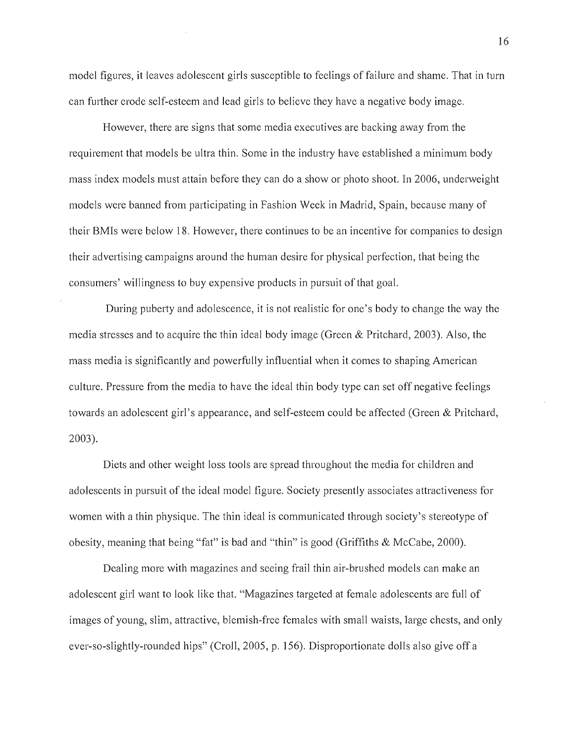model figures, it leaves adolescent girls susceptible to feelings of failure and shame. That in turn can further erode self-esteem and lead girls to believe they have a negative body image.

However, there are signs that some media executives are backing away from the requirement that models be ultra thin. Some in the industry have established a minimum body mass index models must attain before they can do a show or photo shoot. In 2006, underweight models were banned from participating in Fashion Week in Madrid, Spain, because many of their BMIs were below 18. However, there continues to be an incentive for companies to design their advertising campaigns around the human desire for physical perfection, that being the consumers' willingness to buy expensive products in pursuit of that goal.

During puberty and adolescence, it is not realistic for one's body to change the way the media stresses and to acquire the thin ideal body image (Green & Pritchard, 2003). Also, the mass media is significantly and powerfully influential when it comes to shaping American culture. Pressure from the media to have the ideal thin body type can set off negative feelings towards an adolescent girl's appearance, and self-esteem could be affected (Green & Pritchard, 2003).

Diets and other weight loss tools are spread throughout the media for children and adolescents in pursuit of the ideal model figure. Society presently associates attractiveness for women with a thin physique. The thin ideal is communicated through society's stereotype of obesity, meaning that being "fat" is bad and "thin" is good (Griffiths & McCabe, 2000).

Dealing more with magazines and seeing frail thin air-brushed models can make an adolescent girl want to look like that. "Magazines targeted at female adolescents are full of images of young, slim, attractive, blemish-free females with small waists, large chests, and only ever-so-slightly-rounded hips" (Croll, 2005, p. 156). Disproportionate dolls also give off a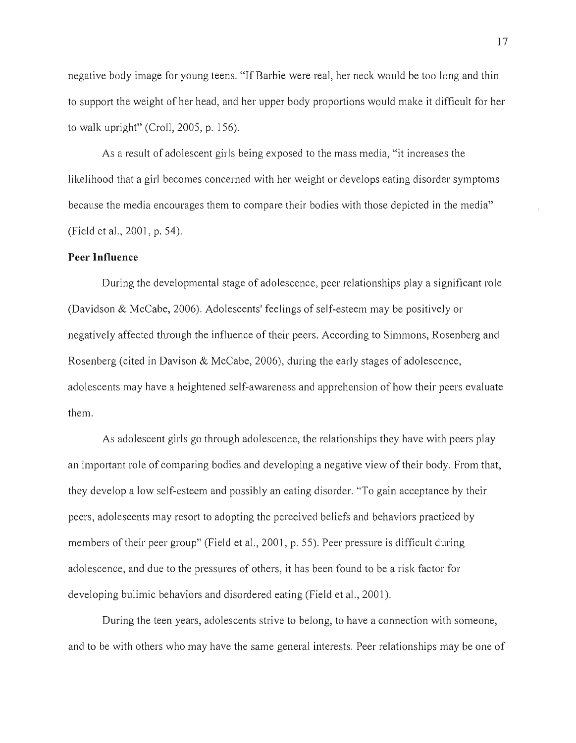negative body image for young teens. "If Barbie were real, her neck would be too long and thin to support the weight of her head, and her upper body proportions would make it difficult for her to walk upright" (Croll, 2005, p. 156).

As a result of adolescent girls being exposed to the mass media, "it increases the likelihood that a girl becomes concerned with her weight or develops eating disorder symptoms because the media encourages them to compare their bodies with those depicted in the media" (Field et ai., 2001, p. 54).

# **Peer Influence**

During the developmental stage of adolescence, peer relationships play a significant role (Davidson & McCabe, 2006). Adolescents' feelings of self-esteem may be positively or negatively affected through the influence of their peers. According to Simmons, Rosenberg and Rosenberg (cited in Davison & McCabe, 2006), during the early stages of adolescence, adolescents may have a heightened self-awareness and apprehension of how their peers evaluate them.

As adolescent girls go through adolescence, the relationships they have with peers play an important role of comparing bodies and developing a negative view of their body. From that, they develop a low self-esteem and possibly an eating disorder. "To gain acceptance by their peers, adolescents may resort to adopting the perceived beliefs and behaviors practiced by members of their peer group" (Field et al., 2001, p. 55). Peer pressure is difficult during adolescence, and due to the pressures of others, it has been found to be a risk factor for developing bulimic behaviors and disordered eating (Field et ai., 2001).

During the teen years, adolescents strive to belong, to have a connection with someone, and to be with others who may have the same general interests. Peer relationships may be one of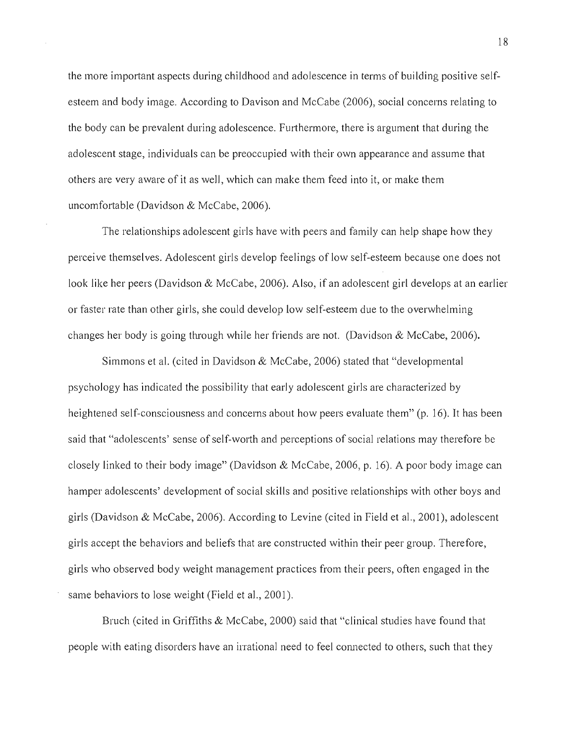the more important aspects during childhood and adolescence in terms of building positive selfesteem and body image. According to Davison and McCabe (2006), social concerns relating to the body can be prevalent during adolescence. Furthermore, there is argument that during the adolescent stage, individuals can be preoccupied with their own appearance and assume that others are very aware of it as well, which can make them feed into it, or make them uncomfortable (Davidson & McCabe, 2006).

The relationships adolescent girls have with peers and family can help shape how they perceive themselves. Adolescent girls develop feelings of low self-esteem because one does not look like her peers (Davidson & McCabe, 2006). Also, if an adolescent girl develops at an earlier or faster rate than other girls, she could develop low self-esteem due to the overwhelming changes her body is going through while her friends are not. (Davidson & McCabe, 2006).

Simmons et al. (cited in Davidson & McCabe, 2006) stated that "developmental psychology has indicated the possibility that early adolescent girls are characterized by heightened self-consciousness and concems about how peers evaluate them" (p. 16). It has been said that "adolescents' sense of self-worth and perceptions of social relations may therefore be closely linked to their body image" (Davidson & McCabe, 2006, p. 16). A poor body image can hamper adolescents' development of social skills and positive relationships with other boys and girls (Davidson & McCabe, 2006). According to Levine (cited in Field et aI., 2001), adolescent girls accept the behaviors and beliefs that are constructed within their peer group. Therefore, girls who observed body weight management practices from their peers, often engaged in the same behaviors to lose weight (Field et aI., 2001).

Bruch (cited in Griffiths & McCabe, 2000) said that "clinical studies have found that people with eating disorders have an irrational need to feel connected to others, such that they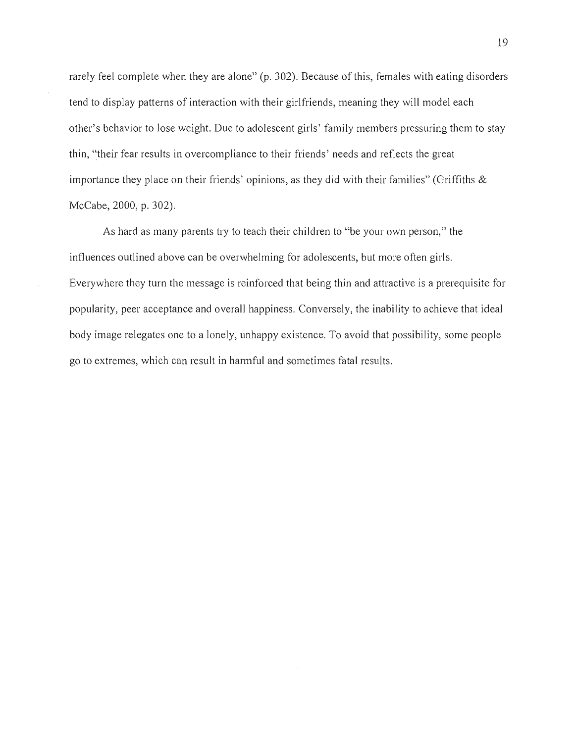rarely feel complete when they are alone" (p. 302). Because of this, females with eating disorders tend to display patterns of interaction with their girlfriends, meaning they will model each other's behavior to lose weight. Due to adolescent girls' family members pressuring them to stay thin, "their fear results in overcompliance to their friends' needs and reflects the great importance they place on their friends' opinions, as they did with their families" (Griffiths & McCabe, 2000, p. 302).

As hard as many parents try to teach their children to "be your own person," the influences outlined above can be overwhelming for adolescents, but more often girls. Everywhere they turn the message is reinforced that being thin and attractive is a prerequisite for popularity, peer acceptance and overall happiness. Conversely, the inability to achieve that ideal body image relegates one to a lonely, unhappy existence. To avoid that possibility, some people go to extremes, which can result in harmful and sometimes fatal results.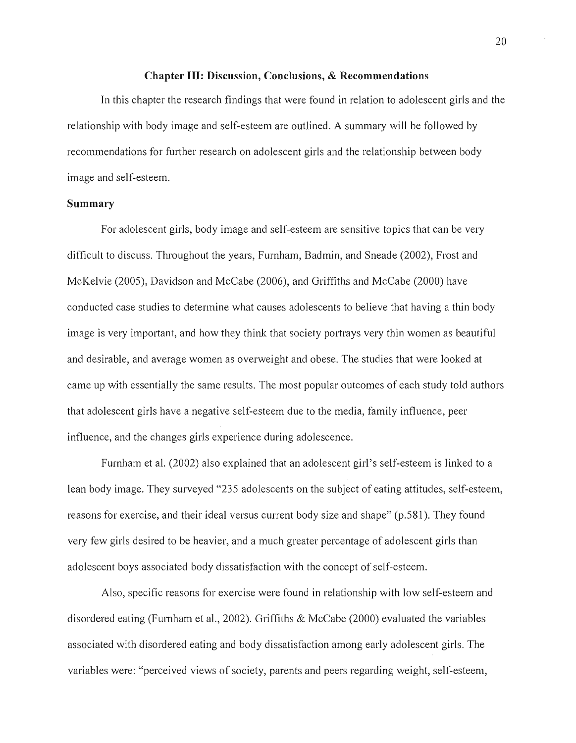#### **Chapter III: Discussion, Conclusions, & Recommendations**

In this chapter the research findings that were found in relation to adolescent girls and the relationship with body image and self-esteem are outlined. A summary will be followed by recommendations for further research on adolescent girls and the relationship between body image and self-esteem.

## **Summary**

For adolescent girls, body image and self-esteem are sensitive topics that can be very difficult to discuss. Throughout the years, Furnham, Badmin, and Sneade (2002), Frost and McKelvie (2005), Davidson and McCabe (2006), and Griffiths and McCabe (2000) have conducted case studies to determine what causes adolescents to believe that having a thin body image is very important, and how they think that society portrays very thin women as beautiful and desirable, and average women as overweight and obese. The studies that were looked at came up with essentially the same results. The most popular outcomes of each study told authors that adolescent girls have a negative self-esteem due to the media, family influence, peer influence, and the changes girls experience during adolescence.

Furnham et aI. (2002) also explained that an adolescent girl's self-esteem is linked to a lean body image. They surveyed "235 adolescents on the subject of eating attitudes, self-esteem, reasons for exercise, and their ideal versus current body size and shape" (p.581). They found very few girls desired to be heavier, and a much greater percentage of adolescent girls than adolescent boys associated body dissatisfaction with the concept of self-esteem.

Also, specific reasons for exercise were found in relationship with low self-esteem and disordered eating (Furnham et aI., 2002). Griffiths & McCabe (2000) evaluated the variables associated with disordered eating and body dissatisfaction among early adolescent girls. The variables were: "perceived views of society, parents and peers regarding weight, self-esteem,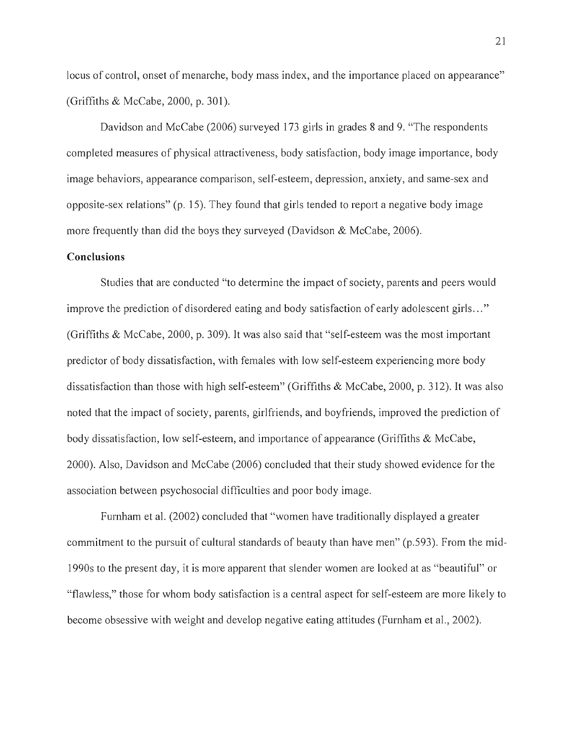locus of control, onset of menarche, body mass index, and the importance placed on appearance" (Griffiths & McCabe, 2000, p. 301).

Davidson and McCabe (2006) surveyed 173 girls in grades 8 and 9. "The respondents completed measures of physical attractiveness, body satisfaction, body image importance, body image behaviors, appearance comparison, self-esteem, depression, anxiety, and same-sex and opposite-sex relations" (p. 15). They found that girls tended to report a negative body image more frequently than did the boys they surveyed (Davidson  $&$  McCabe, 2006).

## **Conclusions**

Studies that are conducted "to determine the impact of society, parents and peers would improve the prediction of disordered eating and body satisfaction of early adolescent girls ... " (Griffiths & McCabe, 2000, p. 309). It was also said that "self-esteem was the most important predictor of body dissatisfaction, with females with low self-esteem experiencing more body dissatisfaction than those with high self-esteem" (Griffiths & McCabe, 2000, p. 312). It was also noted that the impact of society, parents, girlfriends, and boyfriends, improved the prediction of body dissatisfaction, low self-esteem, and importance of appearance (Griffiths  $\&$  McCabe, 2000). Also, Davidson and McCabe (2006) concluded that their study showed evidence for the association between psychosocial difficulties and poor body image.

Furnham et ai. (2002) concluded that "women have traditionally displayed a greater commitment to the pursuit of cultural standards of beauty than have men" (p.593). From the mid-1990s to the present day, it is more apparent that slender women are looked at as "beautiful" or "flawless," those for whom body satisfaction is a central aspect for self-esteem are more likely to become obsessive with weight and develop negative eating attitudes (Furnham et aI., 2002).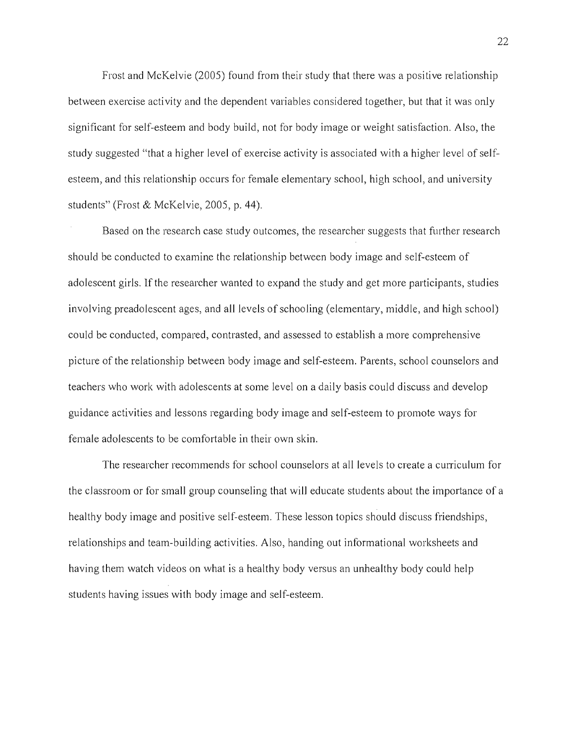Frost and McKelvie (2005) found from their study that there was a positive relationship between exercise activity and the dependent variables considered together, but that it was only significant for self-esteem and body build, not for body image or weight satisfaction. Also, the study suggested "that a higher level of exercise activity is associated with a higher level of selfesteem, and this relationship occurs for female elementary school, high school, and university students" (Frost & McKelvie, 2005, p. 44).

Based on the research case study outcomes, the researcher suggests that further research should be conducted to examine the relationship between body image and self-esteem of adolescent girls. If the researcher wanted to expand the study and get more participants, studies involving preadolescent ages, and all levels of schooling (elementary, middle, and high school) could be conducted, compared, contrasted, and assessed to establish a more comprehensive picture of the relationship between body image and self-esteem. Parents, school counselors and teachers who work with adolescents at some level on a daily basis could discuss and develop guidance activities and lessons regarding body image and self-esteem to promote ways for female adolescents to be comfortable in their own skin.

The researcher recommends for school counselors at all levels to create a cuniculum for the classroom or for small group counseling that will educate students about the importance of a healthy body image and positive self-esteem. These lesson topics should discuss friendships, relationships and team-building activities. Also, handing out informational worksheets and having them watch videos on what is a healthy body versus an unhealthy body could help students having issues with body image and self-esteem.

22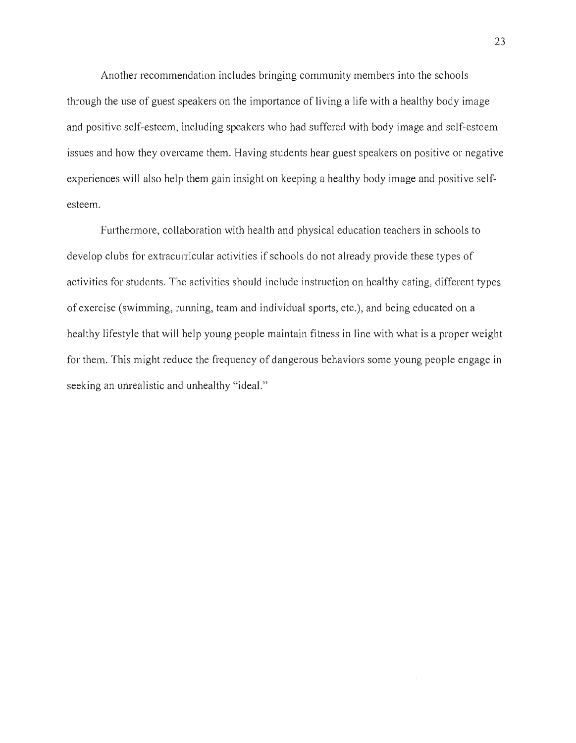Another recommendation includes bringing community members into the schools through the use of guest speakers on the importance of living a life with a healthy body image and positive self-esteem, including speakers who had suffered with body image and self-esteem issues and how they overcame them. Having students hear guest speakers on positive or negative experiences will also help them gain insight on keeping a healthy body image and positive selfesteem.

Furthermore, collaboration with health and physical education teachers in schools to develop clubs for extracurricular activities if schools do not already provide these types of activities for students. The activities should include instruction on healthy eating, different types of exercise (swimming, running, team and individual sports, etc.), and being educated on a healthy lifestyle that will help young people maintain fitness in line with what is a proper weight for them. This might reduce the frequency of dangerous behaviors some young people engage in seeking an unrealistic and unhealthy "ideal."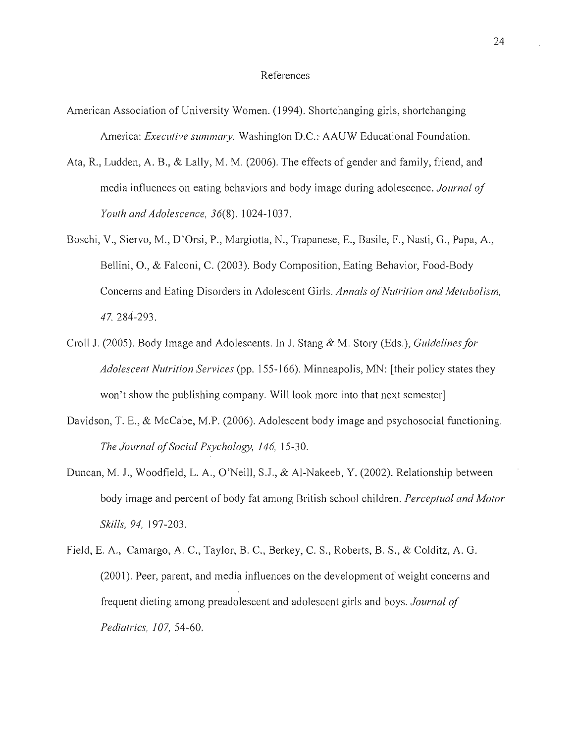#### References

- American Association of University Women. (1994). Shortchanging girls, shortchanging America: *Executive summary.* Washington D.C.: AAUW Educational Foundation.
- Ata, R., Ludden, A. B., & Lally, M. M. (2006). The effects of gender and family, friend, and media influences on eating behaviors and body image during adolescence. *Journal of Youth and Adolescence,* 36(8). 1024-1037.
- Boschi, V., Siervo, M., D'Orsi, P., Margiotta, N., Trapanese, E., Basile, F., Nasti, G., Papa, A., Bellini, 0., & Falconi, C. (2003). Body Composition, Eating Behavior, Food-Body Concerns and Eating Disorders in Adolescent Girls. *Annals of Nutrition and Metabolism,*  47. 284-293.
- Croll J. (2005). Body Image and Adolescents. In J. Stang & M. Story (Eds.), *Guidelines for Adolescent Nutrition Services* (pp. 155-166). Minneapolis, MN: [their policy states they won't show the publishing company. Will look more into that next semester]
- Davidson, T. E., & McCabe, M.P. (2006). Adolescent body image and psychosocial functioning. *The Journal of Social Psychology,* 146, 15-30.
- Duncan, M. 1., Woodfield, L. A., O'Neill, SJ., & AI-Nakeeb, Y. (2002). Relationship between body image and percent of body fat among British school children. *Perceptual and Motor Skills,* 94, 197-203.
- Field, E. A., Camargo, A. C., Taylor, B. C., Berkey, C. S., Roberts, B. S., & Colditz, A. G. (2001). Peer, parent, and media influences on the development of weight concerns and frequent dieting among preadolescent and adolescent girls and boys. *Journal of Pediatrics, 107, 54-60.*